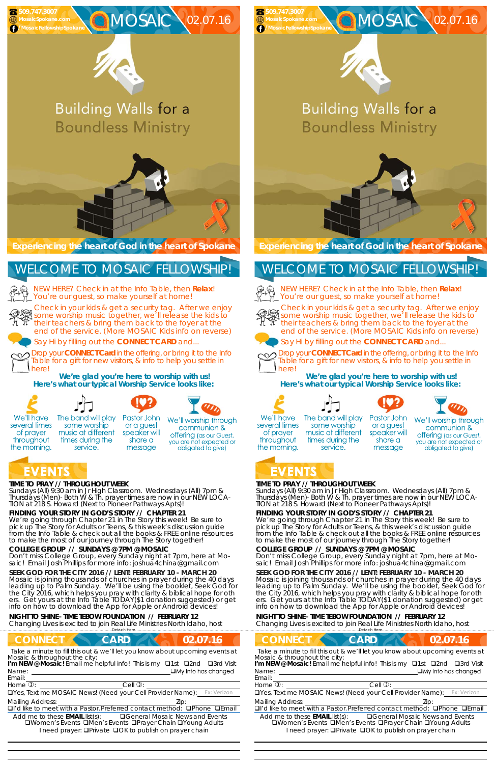## **TIME TO PRAY // THROUGHOUT WEEK**

*Sundays* (All) 9:30 am in Jr High Classroom. *Wednesdays* (All) 7pm & *Thursdays* (Men)- Both W & Th. prayer times are now in our *NEW LOCA-TION at 218 S. Howard* (Next to Pioneer Pathways Apts)!

## **FINDING YOUR STORY IN GOD'S STORY // CHAPTER 21**

**SEEK GOD FOR THE CITY 2016 // LENT: FEBRUARY 10 - MARCH 20**  Mosaic is joining thousands of churches in prayer during the 40 days leading up to Palm Sunday. We'll be using the booklet, *Seek God for the City 2016,* which helps you pray with clarity & biblical hope for oth ers. Get yours at the Info Table TODAY(\$1 donation suggested) or get info on how to download the App for Apple or Android devices!

We're going through Chapter 21 in The Story this week! Be sure to pick up The Story for Adults or Teens, & this week's discussion guide from the Info Table & check out all the books & FREE online resources to make the most of our journey through The Story together!

## **COLLEGE GROUP // SUNDAYS @ 7PM @ MOSAIC**

Don't miss College Group, every Sunday night at 7pm, here at Mo-

saic! Email Josh Phillips for more info: joshua4china@gmail.com

NEW HERE? Check in at the Info Table, then **Relax**! You're our guest, so make yourself at home!

### **NIGHT TO SHINE– TIME TEBOW FOUNDATION // FEBRUARY 12**

Changing Lives is excited to join Real Life Ministries North Idaho, host

……………………….……………………………………………………….Detach Here……………………………………………..…………………………………

# **CONNECT CARD 102.07.16**

**Experiencing the heart of God in the heart of Spokane** 

Check in your kids & get a security tag. After we enjoy some worship music together, we'll release the kids to their teachers & bring them back to the foyer at the end of the service. (More MOSAIC Kids info on reverse)



# **Building Walls for a Boundless Ministry**



Mosaic is joining thousands of churches in prayer during the 40 days leading up to Palm Sunday. We'll be using the booklet, *Seek God for the City 2016,* which helps you pray with clarity & biblical hope for oth ers. Get yours at the Info Table TODAY(\$1 donation suggested) or get info on how to download the App for Apple or Android devices!

Say Hi by filling out the **CONNECT CARD** and...

Drop your **CONNECT Card** in the offering, or bring it to the Info Table for a gift for new visitors, & info to help you settle in here!

**We're glad you're here to worship with us! Here's what our typical Worship Service looks like:** 



several times

of prayer

throughout

the morning.











We'll worship through or a guest communion & speaker will **offering** (as our Guest, share a you are not expected or obligated to give)

# EVENTS

NEW HERE? Check in at the Info Table, then **Relax**! You're our guest, so make yourself at home!



# WELCOME TO MOSAIC FELLOWSHIP!

Email:

Drop your **CONNECT Card** in the offering, or bring it to the Info Table for a gift for new visitors, & info to help you settle in herel

*Take a minute to fill this out & we'll let you know about upcoming events at Mosaic & throughout the city:* 

Name: <u>Quantity and Contract and Contract and Contract and Contract and Contract and Contract and Contract and Contract and Contract and Contract and Contract and Contract and Contract and Contract and Contract and Contrac</u> **I'm NEW @ Mosaic!** Email me helpful info! This is my □1st □2nd □3rd Visit

 

Home  $\mathbb{D}$ :  $\qquad \qquad$  Cell  $\mathbb{D}$ :

UYes, Text me MOSAIC News! (Need your Cell Provider Name):

Mailing Address: The Mailing Address: The Mailing Address: The Mail of the Mail of the Mail of the Mail of the Mail of the Mail of the Mail of the Mail of the Mail of the Mail of the Mail of the Mail of the Mail of the Mai

 $\Box$ I'd like to meet with a Pastor. Preferred contact method:  $\Box$ Phone  $\Box$ Email

Add me to these **EMAIL** list(s): General Mosaic News and Events **QWomen's Events QMen's Events QPrayer Chain QYoung Adults** I need prayer: **QPrivate QOK to publish on prayer chain** 

# **TIME TO PRAY // THROUGHOUT WEEK**

*Sundays* (All) 9:30 am in Jr High Classroom. *Wednesdays* (All) 7pm & *Thursdays* (Men)- Both W & Th. prayer times are now in our *NEW LOCA-TION at 218 S. Howard* (Next to Pioneer Pathways Apts)!

# **FINDING YOUR STORY IN GOD'S STORY // CHAPTER 21**

We're going through Chapter 21 in The Story this week! Be sure to pick up The Story for Adults or Teens, & this week's discussion guide from the Info Table & check out all the books & FREE online resources to make the most of our journey through The Story together!

# **COLLEGE GROUP // SUNDAYS @ 7PM @ MOSAIC**

Don't miss College Group, every Sunday night at 7pm, here at Mosaic! Email Josh Phillips for more info: joshua4china@gmail.com



## **SEEK GOD FOR THE CITY 2016 // LENT: FEBRUARY 10 - MARCH 20**

### **NIGHT TO SHINE– TIME TEBOW FOUNDATION // FEBRUARY 12**

Changing Lives is excited to join Real Life Ministries North Idaho, host

..Detach Here.

**Experiencing the heart of God in the heart of Spokane** 

Check in your kids & get a security tag. After we enjoy some worship music together, we'll release the kids to their teachers & bring them back to the foyer at the end of the service. (More MOSAIC Kids info on reverse)







# **Building Walls for a Boundless Ministry**



Say Hi by filling out the **CONNECT CARD** and...



| <b>CONNECT</b><br><b>CARD</b>                                                                                                           | 02.07.16                                                                     |
|-----------------------------------------------------------------------------------------------------------------------------------------|------------------------------------------------------------------------------|
| Mosaic & throughout the city:                                                                                                           | Take a minute to fill this out & we'll let you know about upcoming events at |
| I'm NEW @ Mosaic! Email me helpful info! This is my <b>Q1st Q2nd Q3rd Visit</b>                                                         |                                                                              |
| Name:                                                                                                                                   | $\Box$ My Info has changed                                                   |
| Email:<br>Home $\overline{v}$ :                                                                                                         | $Cell$ $\mathbb{Q}$ :                                                        |
| <b>QYes, Text me MOSAIC News! (Need your Cell Provider Name):</b> Ex: Verizon                                                           |                                                                              |
| <b>Mailing Address:</b>                                                                                                                 | Zip:                                                                         |
| □I'd like to meet with a Pastor. Preferred contact method: □Phone □Email                                                                |                                                                              |
| Add me to these $EMAIL$ list(s): $\Box$ General Mosaic News and Events<br>I need prayer: <b>QPrivate QOK</b> to publish on prayer chain | □Women's Events □Men's Events □Prayer Chain □Young Adults                    |

**We're glad you're here to worship with us! Here's what our typical Worship Service looks like:** 









We'll have several times of prayer throughout the morning.

 **509.747.3007** 

# WELCOME TO MOSAIC FELLOWSHIP!



  The band will play some worship music at different times during the service.

Pastor John or a guest speaker will share a message

We'll worship through communion & offering (as our Guest, you are not expected or obligated to give)

# EVENTS